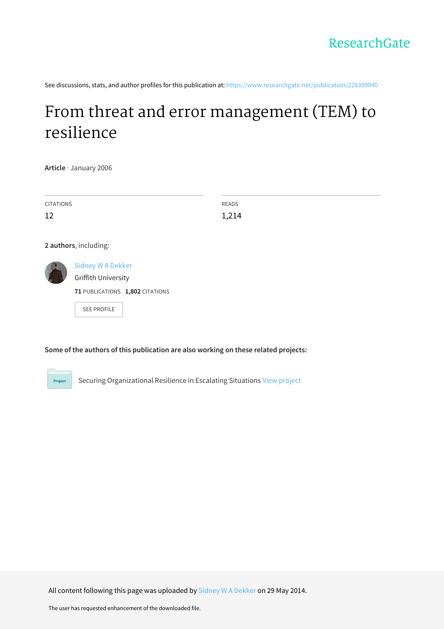See discussions, stats, and author profiles for this publication at: [https://www.researchgate.net/publication/228399040](https://www.researchgate.net/publication/228399040_From_threat_and_error_management_TEM_to_resilience?enrichId=rgreq-068135c27e60a4f003785f932414bfaf-XXX&enrichSource=Y292ZXJQYWdlOzIyODM5OTA0MDtBUzoxMDIwNDEyOTY4MzQ1NjJAMTQwMTMzOTk0OTQ4NQ%3D%3D&el=1_x_2&_esc=publicationCoverPdf)

## From threat and error [management](https://www.researchgate.net/publication/228399040_From_threat_and_error_management_TEM_to_resilience?enrichId=rgreq-068135c27e60a4f003785f932414bfaf-XXX&enrichSource=Y292ZXJQYWdlOzIyODM5OTA0MDtBUzoxMDIwNDEyOTY4MzQ1NjJAMTQwMTMzOTk0OTQ4NQ%3D%3D&el=1_x_3&_esc=publicationCoverPdf) (TEM) to resilience

**Article** · January 2006

Project

| <b>CITATIONS</b>      |                                                 | <b>READS</b> |
|-----------------------|-------------------------------------------------|--------------|
| 12                    |                                                 | 1,214        |
|                       |                                                 |              |
| 2 authors, including: |                                                 |              |
|                       | <b>Sidney W A Dekker</b><br>Griffith University |              |
|                       | 71 PUBLICATIONS 1,802 CITATIONS                 |              |
|                       | <b>SEE PROFILE</b>                              |              |

## **Some of the authors of this publication are also working on these related projects:**

Securing Organizational Resilience in Escalating Situations View [project](https://www.researchgate.net/project/Securing-Organizational-Resilience-in-Escalating-Situations?enrichId=rgreq-068135c27e60a4f003785f932414bfaf-XXX&enrichSource=Y292ZXJQYWdlOzIyODM5OTA0MDtBUzoxMDIwNDEyOTY4MzQ1NjJAMTQwMTMzOTk0OTQ4NQ%3D%3D&el=1_x_9&_esc=publicationCoverPdf)

All content following this page was uploaded by Sidney W A [Dekker](https://www.researchgate.net/profile/Sidney_Dekker?enrichId=rgreq-068135c27e60a4f003785f932414bfaf-XXX&enrichSource=Y292ZXJQYWdlOzIyODM5OTA0MDtBUzoxMDIwNDEyOTY4MzQ1NjJAMTQwMTMzOTk0OTQ4NQ%3D%3D&el=1_x_10&_esc=publicationCoverPdf) on 29 May 2014.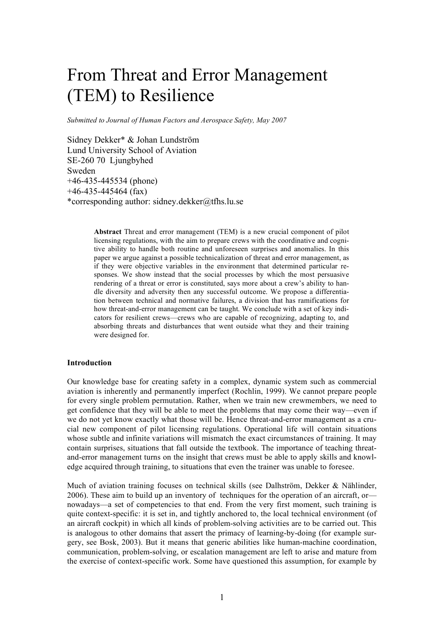# From Threat and Error Management (TEM) to Resilience

*Submitted to Journal of Human Factors and Aerospace Safety, May 2007*

Sidney Dekker\* & Johan Lundström Lund University School of Aviation SE-260 70 Ljungbyhed Sweden +46-435-445534 (phone) +46-435-445464 (fax) \*corresponding author: sidney.dekker@tfhs.lu.se

> **Abstract** Threat and error management (TEM) is a new crucial component of pilot licensing regulations, with the aim to prepare crews with the coordinative and cognitive ability to handle both routine and unforeseen surprises and anomalies. In this paper we argue against a possible technicalization of threat and error management, as if they were objective variables in the environment that determined particular responses. We show instead that the social processes by which the most persuasive rendering of a threat or error is constituted, says more about a crew's ability to handle diversity and adversity then any successful outcome. We propose a differentiation between technical and normative failures, a division that has ramifications for how threat-and-error management can be taught. We conclude with a set of key indicators for resilient crews—crews who are capable of recognizing, adapting to, and absorbing threats and disturbances that went outside what they and their training were designed for.

#### **Introduction**

Our knowledge base for creating safety in a complex, dynamic system such as commercial aviation is inherently and permanently imperfect (Rochlin, 1999). We cannot prepare people for every single problem permutation. Rather, when we train new crewmembers, we need to get confidence that they will be able to meet the problems that may come their way—even if we do not yet know exactly what those will be. Hence threat-and-error management as a crucial new component of pilot licensing regulations. Operational life will contain situations whose subtle and infinite variations will mismatch the exact circumstances of training. It may contain surprises, situations that fall outside the textbook. The importance of teaching threatand-error management turns on the insight that crews must be able to apply skills and knowledge acquired through training, to situations that even the trainer was unable to foresee.

Much of aviation training focuses on technical skills (see Dalhström, Dekker & Nählinder, 2006). These aim to build up an inventory of techniques for the operation of an aircraft, or nowadays—a set of competencies to that end. From the very first moment, such training is quite context-specific: it is set in, and tightly anchored to, the local technical environment (of an aircraft cockpit) in which all kinds of problem-solving activities are to be carried out. This is analogous to other domains that assert the primacy of learning-by-doing (for example surgery, see Bosk, 2003). But it means that generic abilities like human-machine coordination, communication, problem-solving, or escalation management are left to arise and mature from the exercise of context-specific work. Some have questioned this assumption, for example by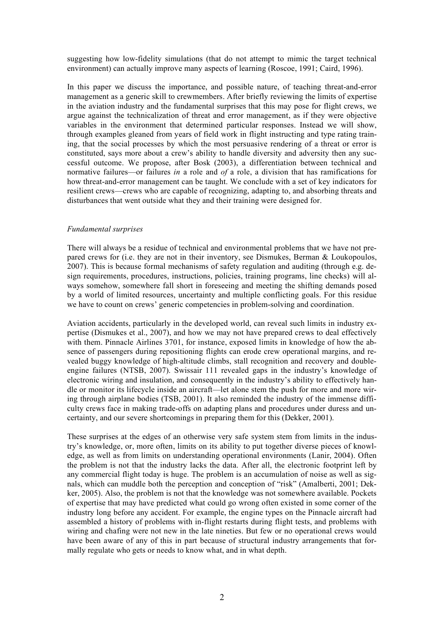suggesting how low-fidelity simulations (that do not attempt to mimic the target technical environment) can actually improve many aspects of learning (Roscoe, 1991; Caird, 1996).

In this paper we discuss the importance, and possible nature, of teaching threat-and-error management as a generic skill to crewmembers. After briefly reviewing the limits of expertise in the aviation industry and the fundamental surprises that this may pose for flight crews, we argue against the technicalization of threat and error management, as if they were objective variables in the environment that determined particular responses. Instead we will show, through examples gleaned from years of field work in flight instructing and type rating training, that the social processes by which the most persuasive rendering of a threat or error is constituted, says more about a crew's ability to handle diversity and adversity then any successful outcome. We propose, after Bosk (2003), a differentiation between technical and normative failures—or failures *in* a role and *of* a role, a division that has ramifications for how threat-and-error management can be taught. We conclude with a set of key indicators for resilient crews—crews who are capable of recognizing, adapting to, and absorbing threats and disturbances that went outside what they and their training were designed for.

#### *Fundamental surprises*

There will always be a residue of technical and environmental problems that we have not prepared crews for (i.e. they are not in their inventory, see Dismukes, Berman & Loukopoulos, 2007). This is because formal mechanisms of safety regulation and auditing (through e.g. design requirements, procedures, instructions, policies, training programs, line checks) will always somehow, somewhere fall short in foreseeing and meeting the shifting demands posed by a world of limited resources, uncertainty and multiple conflicting goals. For this residue we have to count on crews' generic competencies in problem-solving and coordination.

Aviation accidents, particularly in the developed world, can reveal such limits in industry expertise (Dismukes et al., 2007), and how we may not have prepared crews to deal effectively with them. Pinnacle Airlines 3701, for instance, exposed limits in knowledge of how the absence of passengers during repositioning flights can erode crew operational margins, and revealed buggy knowledge of high-altitude climbs, stall recognition and recovery and doubleengine failures (NTSB, 2007). Swissair 111 revealed gaps in the industry's knowledge of electronic wiring and insulation, and consequently in the industry's ability to effectively handle or monitor its lifecycle inside an aircraft—let alone stem the push for more and more wiring through airplane bodies (TSB, 2001). It also reminded the industry of the immense difficulty crews face in making trade-offs on adapting plans and procedures under duress and uncertainty, and our severe shortcomings in preparing them for this (Dekker, 2001).

These surprises at the edges of an otherwise very safe system stem from limits in the industry's knowledge, or, more often, limits on its ability to put together diverse pieces of knowledge, as well as from limits on understanding operational environments (Lanir, 2004). Often the problem is not that the industry lacks the data. After all, the electronic footprint left by any commercial flight today is huge. The problem is an accumulation of noise as well as signals, which can muddle both the perception and conception of "risk" (Amalberti, 2001; Dekker, 2005). Also, the problem is not that the knowledge was not somewhere available. Pockets of expertise that may have predicted what could go wrong often existed in some corner of the industry long before any accident. For example, the engine types on the Pinnacle aircraft had assembled a history of problems with in-flight restarts during flight tests, and problems with wiring and chafing were not new in the late nineties. But few or no operational crews would have been aware of any of this in part because of structural industry arrangements that formally regulate who gets or needs to know what, and in what depth.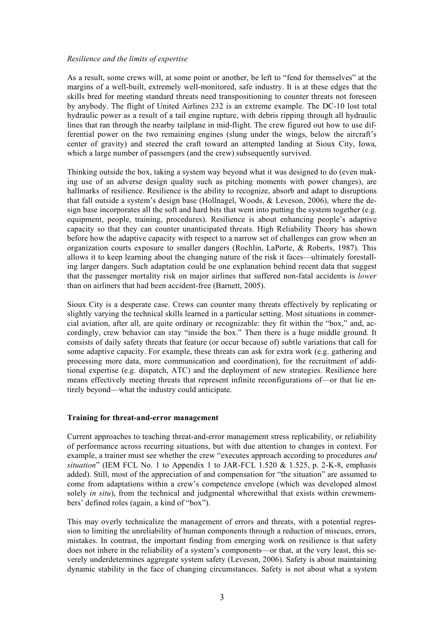#### *Resilience and the limits of expertise*

As a result, some crews will, at some point or another, be left to "fend for themselves" at the margins of a well-built, extremely well-monitored, safe industry. It is at these edges that the skills bred for meeting standard threats need transpositioning to counter threats not foreseen by anybody. The flight of United Airlines 232 is an extreme example. The DC-10 lost total hydraulic power as a result of a tail engine rupture, with debris ripping through all hydraulic lines that ran through the nearby tailplane in mid-flight. The crew figured out how to use differential power on the two remaining engines (slung under the wings, below the aircraft's center of gravity) and steered the craft toward an attempted landing at Sioux City, Iowa, which a large number of passengers (and the crew) subsequently survived.

Thinking outside the box, taking a system way beyond what it was designed to do (even making use of an adverse design quality such as pitching moments with power changes), are hallmarks of resilience. Resilience is the ability to recognize, absorb and adapt to disruptions that fall outside a system's design base (Hollnagel, Woods, & Leveson, 2006), where the design base incorporates all the soft and hard bits that went into putting the system together (e.g. equipment, people, training, procedures). Resilience is about enhancing people's adaptive capacity so that they can counter unanticipated threats. High Reliability Theory has shown before how the adaptive capacity with respect to a narrow set of challenges can grow when an organization courts exposure to smaller dangers (Rochlin, LaPorte, & Roberts, 1987). This allows it to keep learning about the changing nature of the risk it faces—ultimately forestalling larger dangers. Such adaptation could be one explanation behind recent data that suggest that the passenger mortality risk on major airlines that suffered non-fatal accidents is *lower* than on airliners that had been accident-free (Barnett, 2005).

Sioux City is a desperate case. Crews can counter many threats effectively by replicating or slightly varying the technical skills learned in a particular setting. Most situations in commercial aviation, after all, are quite ordinary or recognizable: they fit within the "box," and, accordingly, crew behavior can stay "inside the box." Then there is a huge middle ground. It consists of daily safety threats that feature (or occur because of) subtle variations that call for some adaptive capacity. For example, these threats can ask for extra work (e.g. gathering and processing more data, more communication and coordination), for the recruitment of additional expertise (e.g. dispatch, ATC) and the deployment of new strategies. Resilience here means effectively meeting threats that represent infinite reconfigurations of—or that lie entirely beyond—what the industry could anticipate.

## **Training for threat-and-error management**

Current approaches to teaching threat-and-error management stress replicability, or reliability of performance across recurring situations, but with due attention to changes in context. For example, a trainer must see whether the crew "executes approach according to procedures *and situation*" (IEM FCL No. 1 to Appendix 1 to JAR-FCL 1.520  $\&$  1.525, p. 2-K-8, emphasis added). Still, most of the appreciation of and compensation for "the situation" are assumed to come from adaptations within a crew's competence envelope (which was developed almost solely *in situ*), from the technical and judgmental wherewithal that exists within crewmembers' defined roles (again, a kind of "box").

This may overly technicalize the management of errors and threats, with a potential regression to limiting the unreliability of human components through a reduction of miscues, errors, mistakes. In contrast, the important finding from emerging work on resilience is that safety does not inhere in the reliability of a system's components—or that, at the very least, this severely underdetermines aggregate system safety (Leveson, 2006). Safety is about maintaining dynamic stability in the face of changing circumstances. Safety is not about what a system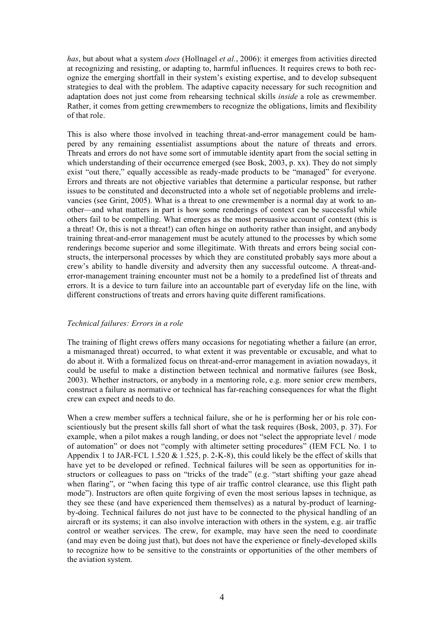*has*, but about what a system *does* (Hollnagel *et al.*, 2006): it emerges from activities directed at recognizing and resisting, or adapting to, harmful influences. It requires crews to both recognize the emerging shortfall in their system's existing expertise, and to develop subsequent strategies to deal with the problem. The adaptive capacity necessary for such recognition and adaptation does not just come from rehearsing technical skills *inside* a role as crewmember. Rather, it comes from getting crewmembers to recognize the obligations, limits and flexibility of that role.

This is also where those involved in teaching threat-and-error management could be hampered by any remaining essentialist assumptions about the nature of threats and errors. Threats and errors do not have some sort of immutable identity apart from the social setting in which understanding of their occurrence emerged (see Bosk, 2003, p. xx). They do not simply exist "out there," equally accessible as ready-made products to be "managed" for everyone. Errors and threats are not objective variables that determine a particular response, but rather issues to be constituted and deconstructed into a whole set of negotiable problems and irrelevancies (see Grint, 2005). What is a threat to one crewmember is a normal day at work to another—and what matters in part is how some renderings of context can be successful while others fail to be compelling. What emerges as the most persuasive account of context (this is a threat! Or, this is not a threat!) can often hinge on authority rather than insight, and anybody training threat-and-error management must be acutely attuned to the processes by which some renderings become superior and some illegitimate. With threats and errors being social constructs, the interpersonal processes by which they are constituted probably says more about a crew's ability to handle diversity and adversity then any successful outcome. A threat-anderror-management training encounter must not be a homily to a predefined list of threats and errors. It is a device to turn failure into an accountable part of everyday life on the line, with different constructions of treats and errors having quite different ramifications.

## *Technical failures: Errors in a role*

The training of flight crews offers many occasions for negotiating whether a failure (an error, a mismanaged threat) occurred, to what extent it was preventable or excusable, and what to do about it. With a formalized focus on threat-and-error management in aviation nowadays, it could be useful to make a distinction between technical and normative failures (see Bosk, 2003). Whether instructors, or anybody in a mentoring role, e.g. more senior crew members, construct a failure as normative or technical has far-reaching consequences for what the flight crew can expect and needs to do.

When a crew member suffers a technical failure, she or he is performing her or his role conscientiously but the present skills fall short of what the task requires (Bosk, 2003, p. 37). For example, when a pilot makes a rough landing, or does not "select the appropriate level / mode of automation" or does not "comply with altimeter setting procedures" (IEM FCL No. 1 to Appendix 1 to JAR-FCL 1.520  $\&$  1.525, p. 2-K-8), this could likely be the effect of skills that have yet to be developed or refined. Technical failures will be seen as opportunities for instructors or colleagues to pass on "tricks of the trade" (e.g. "start shifting your gaze ahead when flaring", or "when facing this type of air traffic control clearance, use this flight path mode"). Instructors are often quite forgiving of even the most serious lapses in technique, as they see these (and have experienced them themselves) as a natural by-product of learningby-doing. Technical failures do not just have to be connected to the physical handling of an aircraft or its systems; it can also involve interaction with others in the system, e.g. air traffic control or weather services. The crew, for example, may have seen the need to coordinate (and may even be doing just that), but does not have the experience or finely-developed skills to recognize how to be sensitive to the constraints or opportunities of the other members of the aviation system.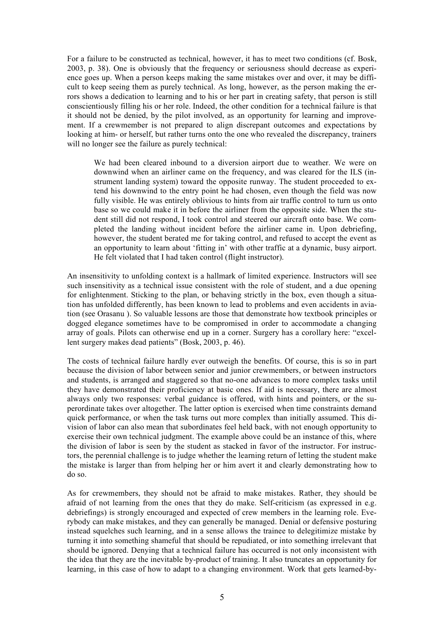For a failure to be constructed as technical, however, it has to meet two conditions (cf. Bosk, 2003, p. 38). One is obviously that the frequency or seriousness should decrease as experience goes up. When a person keeps making the same mistakes over and over, it may be difficult to keep seeing them as purely technical. As long, however, as the person making the errors shows a dedication to learning and to his or her part in creating safety, that person is still conscientiously filling his or her role. Indeed, the other condition for a technical failure is that it should not be denied, by the pilot involved, as an opportunity for learning and improvement. If a crewmember is not prepared to align discrepant outcomes and expectations by looking at him- or herself, but rather turns onto the one who revealed the discrepancy, trainers will no longer see the failure as purely technical:

We had been cleared inbound to a diversion airport due to weather. We were on downwind when an airliner came on the frequency, and was cleared for the ILS (instrument landing system) toward the opposite runway. The student proceeded to extend his downwind to the entry point he had chosen, even though the field was now fully visible. He was entirely oblivious to hints from air traffic control to turn us onto base so we could make it in before the airliner from the opposite side. When the student still did not respond, I took control and steered our aircraft onto base. We completed the landing without incident before the airliner came in. Upon debriefing, however, the student berated me for taking control, and refused to accept the event as an opportunity to learn about 'fitting in' with other traffic at a dynamic, busy airport. He felt violated that I had taken control (flight instructor).

An insensitivity to unfolding context is a hallmark of limited experience. Instructors will see such insensitivity as a technical issue consistent with the role of student, and a due opening for enlightenment. Sticking to the plan, or behaving strictly in the box, even though a situation has unfolded differently, has been known to lead to problems and even accidents in aviation (see Orasanu ). So valuable lessons are those that demonstrate how textbook principles or dogged elegance sometimes have to be compromised in order to accommodate a changing array of goals. Pilots can otherwise end up in a corner. Surgery has a corollary here: "excellent surgery makes dead patients" (Bosk, 2003, p. 46).

The costs of technical failure hardly ever outweigh the benefits. Of course, this is so in part because the division of labor between senior and junior crewmembers, or between instructors and students, is arranged and staggered so that no-one advances to more complex tasks until they have demonstrated their proficiency at basic ones. If aid is necessary, there are almost always only two responses: verbal guidance is offered, with hints and pointers, or the superordinate takes over altogether. The latter option is exercised when time constraints demand quick performance, or when the task turns out more complex than initially assumed. This division of labor can also mean that subordinates feel held back, with not enough opportunity to exercise their own technical judgment. The example above could be an instance of this, where the division of labor is seen by the student as stacked in favor of the instructor. For instructors, the perennial challenge is to judge whether the learning return of letting the student make the mistake is larger than from helping her or him avert it and clearly demonstrating how to do so.

As for crewmembers, they should not be afraid to make mistakes. Rather, they should be afraid of not learning from the ones that they do make. Self-criticism (as expressed in e.g. debriefings) is strongly encouraged and expected of crew members in the learning role. Everybody can make mistakes, and they can generally be managed. Denial or defensive posturing instead squelches such learning, and in a sense allows the trainee to delegitimize mistake by turning it into something shameful that should be repudiated, or into something irrelevant that should be ignored. Denying that a technical failure has occurred is not only inconsistent with the idea that they are the inevitable by-product of training. It also truncates an opportunity for learning, in this case of how to adapt to a changing environment. Work that gets learned-by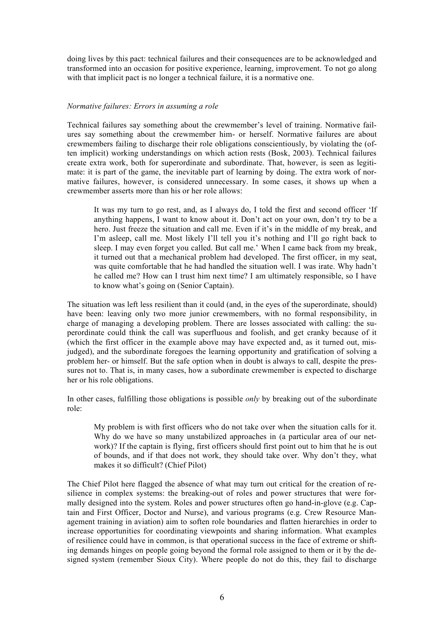doing lives by this pact: technical failures and their consequences are to be acknowledged and transformed into an occasion for positive experience, learning, improvement. To not go along with that implicit pact is no longer a technical failure, it is a normative one.

## *Normative failures: Errors in assuming a role*

Technical failures say something about the crewmember's level of training. Normative failures say something about the crewmember him- or herself. Normative failures are about crewmembers failing to discharge their role obligations conscientiously, by violating the (often implicit) working understandings on which action rests (Bosk, 2003). Technical failures create extra work, both for superordinate and subordinate. That, however, is seen as legitimate: it is part of the game, the inevitable part of learning by doing. The extra work of normative failures, however, is considered unnecessary. In some cases, it shows up when a crewmember asserts more than his or her role allows:

It was my turn to go rest, and, as I always do, I told the first and second officer 'If anything happens, I want to know about it. Don't act on your own, don't try to be a hero. Just freeze the situation and call me. Even if it's in the middle of my break, and I'm asleep, call me. Most likely I'll tell you it's nothing and I'll go right back to sleep. I may even forget you called. But call me.' When I came back from my break, it turned out that a mechanical problem had developed. The first officer, in my seat, was quite comfortable that he had handled the situation well. I was irate. Why hadn't he called me? How can I trust him next time? I am ultimately responsible, so I have to know what's going on (Senior Captain).

The situation was left less resilient than it could (and, in the eyes of the superordinate, should) have been: leaving only two more junior crewmembers, with no formal responsibility, in charge of managing a developing problem. There are losses associated with calling: the superordinate could think the call was superfluous and foolish, and get cranky because of it (which the first officer in the example above may have expected and, as it turned out, misjudged), and the subordinate foregoes the learning opportunity and gratification of solving a problem her- or himself. But the safe option when in doubt is always to call, despite the pressures not to. That is, in many cases, how a subordinate crewmember is expected to discharge her or his role obligations.

In other cases, fulfilling those obligations is possible *only* by breaking out of the subordinate role:

My problem is with first officers who do not take over when the situation calls for it. Why do we have so many unstabilized approaches in (a particular area of our network)? If the captain is flying, first officers should first point out to him that he is out of bounds, and if that does not work, they should take over. Why don't they, what makes it so difficult? (Chief Pilot)

The Chief Pilot here flagged the absence of what may turn out critical for the creation of resilience in complex systems: the breaking-out of roles and power structures that were formally designed into the system. Roles and power structures often go hand-in-glove (e.g. Captain and First Officer, Doctor and Nurse), and various programs (e.g. Crew Resource Management training in aviation) aim to soften role boundaries and flatten hierarchies in order to increase opportunities for coordinating viewpoints and sharing information. What examples of resilience could have in common, is that operational success in the face of extreme or shifting demands hinges on people going beyond the formal role assigned to them or it by the designed system (remember Sioux City). Where people do not do this, they fail to discharge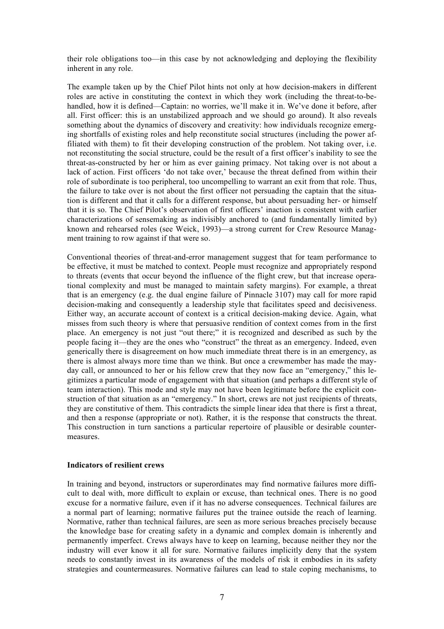their role obligations too—in this case by not acknowledging and deploying the flexibility inherent in any role.

The example taken up by the Chief Pilot hints not only at how decision-makers in different roles are active in constituting the context in which they work (including the threat-to-behandled, how it is defined—Captain: no worries, we'll make it in. We've done it before, after all. First officer: this is an unstabilized approach and we should go around). It also reveals something about the dynamics of discovery and creativity: how individuals recognize emerging shortfalls of existing roles and help reconstitute social structures (including the power affiliated with them) to fit their developing construction of the problem. Not taking over, i.e. not reconstituting the social structure, could be the result of a first officer's inability to see the threat-as-constructed by her or him as ever gaining primacy. Not taking over is not about a lack of action. First officers 'do not take over,' because the threat defined from within their role of subordinate is too peripheral, too uncompelling to warrant an exit from that role. Thus, the failure to take over is not about the first officer not persuading the captain that the situation is different and that it calls for a different response, but about persuading her- or himself that it is so. The Chief Pilot's observation of first officers' inaction is consistent with earlier characterizations of sensemaking as indivisibly anchored to (and fundamentally limited by) known and rehearsed roles (see Weick, 1993)—a strong current for Crew Resource Managment training to row against if that were so.

Conventional theories of threat-and-error management suggest that for team performance to be effective, it must be matched to context. People must recognize and appropriately respond to threats (events that occur beyond the influence of the flight crew, but that increase operational complexity and must be managed to maintain safety margins). For example, a threat that is an emergency (e.g. the dual engine failure of Pinnacle 3107) may call for more rapid decision-making and consequently a leadership style that facilitates speed and decisiveness. Either way, an accurate account of context is a critical decision-making device. Again, what misses from such theory is where that persuasive rendition of context comes from in the first place. An emergency is not just "out there;" it is recognized and described as such by the people facing it—they are the ones who "construct" the threat as an emergency. Indeed, even generically there is disagreement on how much immediate threat there is in an emergency, as there is almost always more time than we think. But once a crewmember has made the mayday call, or announced to her or his fellow crew that they now face an "emergency," this legitimizes a particular mode of engagement with that situation (and perhaps a different style of team interaction). This mode and style may not have been legitimate before the explicit construction of that situation as an "emergency." In short, crews are not just recipients of threats, they are constitutive of them. This contradicts the simple linear idea that there is first a threat, and then a response (appropriate or not). Rather, it is the response that constructs the threat. This construction in turn sanctions a particular repertoire of plausible or desirable countermeasures.

#### **Indicators of resilient crews**

In training and beyond, instructors or superordinates may find normative failures more difficult to deal with, more difficult to explain or excuse, than technical ones. There is no good excuse for a normative failure, even if it has no adverse consequences. Technical failures are a normal part of learning; normative failures put the trainee outside the reach of learning. Normative, rather than technical failures, are seen as more serious breaches precisely because the knowledge base for creating safety in a dynamic and complex domain is inherently and permanently imperfect. Crews always have to keep on learning, because neither they nor the industry will ever know it all for sure. Normative failures implicitly deny that the system needs to constantly invest in its awareness of the models of risk it embodies in its safety strategies and countermeasures. Normative failures can lead to stale coping mechanisms, to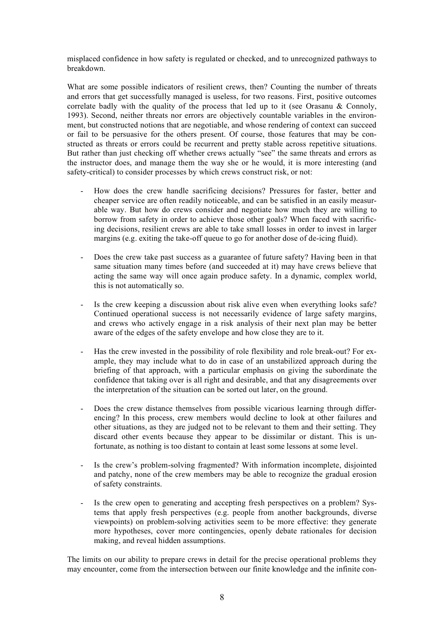misplaced confidence in how safety is regulated or checked, and to unrecognized pathways to breakdown.

What are some possible indicators of resilient crews, then? Counting the number of threats and errors that get successfully managed is useless, for two reasons. First, positive outcomes correlate badly with the quality of the process that led up to it (see Orasanu  $\&$  Connoly, 1993). Second, neither threats nor errors are objectively countable variables in the environment, but constructed notions that are negotiable, and whose rendering of context can succeed or fail to be persuasive for the others present. Of course, those features that may be constructed as threats or errors could be recurrent and pretty stable across repetitive situations. But rather than just checking off whether crews actually "see" the same threats and errors as the instructor does, and manage them the way she or he would, it is more interesting (and safety-critical) to consider processes by which crews construct risk, or not:

- How does the crew handle sacrificing decisions? Pressures for faster, better and cheaper service are often readily noticeable, and can be satisfied in an easily measurable way. But how do crews consider and negotiate how much they are willing to borrow from safety in order to achieve those other goals? When faced with sacrificing decisions, resilient crews are able to take small losses in order to invest in larger margins (e.g. exiting the take-off queue to go for another dose of de-icing fluid).
- Does the crew take past success as a guarantee of future safety? Having been in that same situation many times before (and succeeded at it) may have crews believe that acting the same way will once again produce safety. In a dynamic, complex world, this is not automatically so.
- Is the crew keeping a discussion about risk alive even when everything looks safe? Continued operational success is not necessarily evidence of large safety margins, and crews who actively engage in a risk analysis of their next plan may be better aware of the edges of the safety envelope and how close they are to it.
- Has the crew invested in the possibility of role flexibility and role break-out? For example, they may include what to do in case of an unstabilized approach during the briefing of that approach, with a particular emphasis on giving the subordinate the confidence that taking over is all right and desirable, and that any disagreements over the interpretation of the situation can be sorted out later, on the ground.
- Does the crew distance themselves from possible vicarious learning through differencing? In this process, crew members would decline to look at other failures and other situations, as they are judged not to be relevant to them and their setting. They discard other events because they appear to be dissimilar or distant. This is unfortunate, as nothing is too distant to contain at least some lessons at some level.
- Is the crew's problem-solving fragmented? With information incomplete, disjointed and patchy, none of the crew members may be able to recognize the gradual erosion of safety constraints.
- Is the crew open to generating and accepting fresh perspectives on a problem? Systems that apply fresh perspectives (e.g. people from another backgrounds, diverse viewpoints) on problem-solving activities seem to be more effective: they generate more hypotheses, cover more contingencies, openly debate rationales for decision making, and reveal hidden assumptions.

The limits on our ability to prepare crews in detail for the precise operational problems they may encounter, come from the intersection between our finite knowledge and the infinite con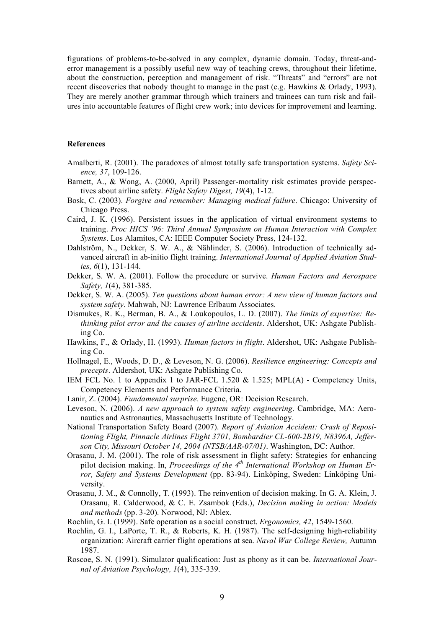figurations of problems-to-be-solved in any complex, dynamic domain. Today, threat-anderror management is a possibly useful new way of teaching crews, throughout their lifetime, about the construction, perception and management of risk. "Threats" and "errors" are not recent discoveries that nobody thought to manage in the past (e.g. Hawkins & Orlady, 1993). They are merely another grammar through which trainers and trainees can turn risk and failures into accountable features of flight crew work; into devices for improvement and learning.

### **References**

- Amalberti, R. (2001). The paradoxes of almost totally safe transportation systems. *Safety Science, 37*, 109-126.
- Barnett, A., & Wong, A. (2000, April) Passenger-mortality risk estimates provide perspectives about airline safety. *Flight Safety Digest, 19*(4), 1-12.
- Bosk, C. (2003). *Forgive and remember: Managing medical failure*. Chicago: University of Chicago Press.
- Caird, J. K. (1996). Persistent issues in the application of virtual environment systems to training. *Proc HICS '96: Third Annual Symposium on Human Interaction with Complex Systems*. Los Alamitos, CA: IEEE Computer Society Press, 124-132.
- Dahlström, N., Dekker, S. W. A., & Nählinder, S. (2006). Introduction of technically advanced aircraft in ab-initio flight training. *International Journal of Applied Aviation Studies, 6*(1), 131-144.
- Dekker, S. W. A. (2001). Follow the procedure or survive. *Human Factors and Aerospace Safety, 1*(4), 381-385.
- Dekker, S. W. A. (2005). *Ten questions about human error: A new view of human factors and system safety*. Mahwah, NJ: Lawrence Erlbaum Associates.
- Dismukes, R. K., Berman, B. A., & Loukopoulos, L. D. (2007). *The limits of expertise: Rethinking pilot error and the causes of airline accidents*. Aldershot, UK: Ashgate Publishing Co.
- Hawkins, F., & Orlady, H. (1993). *Human factors in flight*. Aldershot, UK: Ashgate Publishing Co.
- Hollnagel, E., Woods, D. D., & Leveson, N. G. (2006). *Resilience engineering: Concepts and precepts*. Aldershot, UK: Ashgate Publishing Co.
- IEM FCL No. 1 to Appendix 1 to JAR-FCL 1.520 & 1.525; MPL(A) Competency Units, Competency Elements and Performance Criteria.
- Lanir, Z. (2004). *Fundamental surprise*. Eugene, OR: Decision Research.
- Leveson, N. (2006). *A new approach to system safety engineering*. Cambridge, MA: Aeronautics and Astronautics, Massachusetts Institute of Technology.
- National Transportation Safety Board (2007). *Report of Aviation Accident: Crash of Repositioning Flight, Pinnacle Airlines Flight 3701, Bombardier CL-600-2B19, N8396A, Jefferson City, Missouri October 14, 2004 (NTSB/AAR-07/01)*. Washington, DC: Author.
- Orasanu, J. M. (2001). The role of risk assessment in flight safety: Strategies for enhancing pilot decision making. In, *Proceedings of the 4th International Workshop on Human Error, Safety and Systems Development* (pp. 83-94). Linköping, Sweden: Linköping University.
- Orasanu, J. M., & Connolly, T. (1993). The reinvention of decision making. In G. A. Klein, J. Orasanu, R. Calderwood, & C. E. Zsambok (Eds.), *Decision making in action: Models and methods* (pp. 3-20). Norwood, NJ: Ablex.
- Rochlin, G. I. (1999). Safe operation as a social construct. *Ergonomics, 42*, 1549-1560.
- Rochlin, G. I., LaPorte, T. R., & Roberts, K. H. (1987). The self-designing high-reliability organization: Aircraft carrier flight operations at sea. *Naval War College Review,* Autumn 1987.
- Roscoe, S. N. (1991). Simulator qualification: Just as phony as it can be. *International Journal of Aviation Psychology, 1*(4), 335-339.